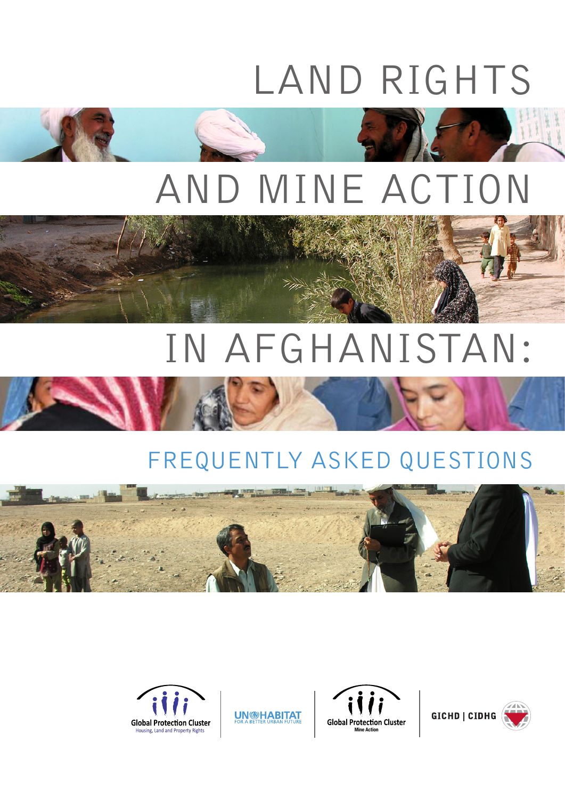# LAND RIGHTS



## AND MINE ACTION

## IN AFGHANISTAN:



## FREQUENTLY ASKED QUESTIONS





**UN<sup>@HABITAT**</sup>



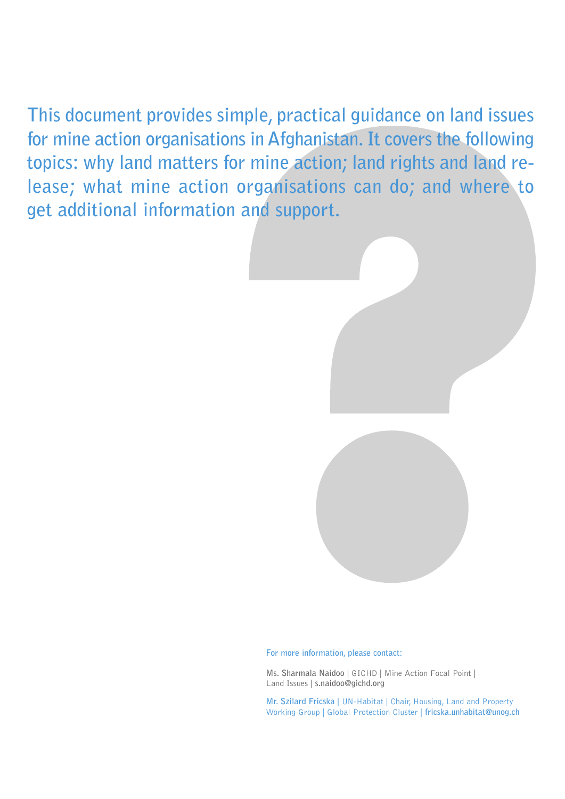**This document provides simple, practical guidance on land issues for mine action organisations in Afghanistan. It covers the following topics: why land matters for mine action; land rights and land release; what mine action organisations can do; and where to get additional information and support.**



**For more information, please contact:**

**Ms. Sharmala Naidoo** | GICHD | Mine Action Focal Point | Land Issues | **s.naidoo@gichd.org**

**Mr. Szilard Fricska** | UN-Habitat | Chair, Housing, Land and Property Working Group | Global Protection Cluster | **fricska.unhabitat@unog.ch**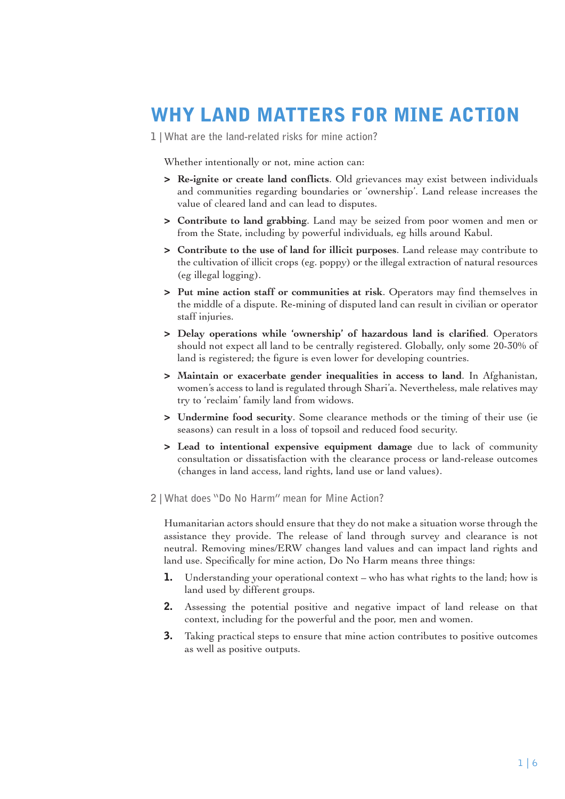### **WHY LAND MATTERS FOR MINE ACTION**

**1 | What are the land-related risks for mine action?**

Whether intentionally or not, mine action can:

- **> Re-ignite or create land conflicts**. Old grievances may exist between individuals and communities regarding boundaries or 'ownership'. Land release increases the value of cleared land and can lead to disputes.
- **> Contribute to land grabbing**. Land may be seized from poor women and men or from the State, including by powerful individuals, eg hills around Kabul.
- **> Contribute to the use of land for illicit purposes**. Land release may contribute to the cultivation of illicit crops (eg. poppy) or the illegal extraction of natural resources (eg illegal logging).
- **> Put mine action staff or communities at risk**. Operators may find themselves in the middle of a dispute. Re-mining of disputed land can result in civilian or operator staff injuries.
- **> Delay operations while 'ownership' of hazardous land is clarified**. Operators should not expect all land to be centrally registered. Globally, only some 20-30% of land is registered; the figure is even lower for developing countries.
- **> Maintain or exacerbate gender inequalities in access to land**. In Afghanistan, women's access to land is regulated through Shari'a. Nevertheless, male relatives may try to 'reclaim' family land from widows.
- **> Undermine food security**. Some clearance methods or the timing of their use (ie seasons) can result in a loss of topsoil and reduced food security.
- **> Lead to intentional expensive equipment damage** due to lack of community consultation or dissatisfaction with the clearance process or land-release outcomes (changes in land access, land rights, land use or land values).
- **2 | What does "Do No Harm" mean for Mine Action?**

Humanitarian actors should ensure that they do not make a situation worse through the assistance they provide. The release of land through survey and clearance is not neutral. Removing mines/ERW changes land values and can impact land rights and land use. Specifically for mine action, Do No Harm means three things:

- **1.** Understanding your operational context who has what rights to the land; how is land used by different groups.
- **2.** Assessing the potential positive and negative impact of land release on that context, including for the powerful and the poor, men and women.
- **3.** Taking practical steps to ensure that mine action contributes to positive outcomes as well as positive outputs.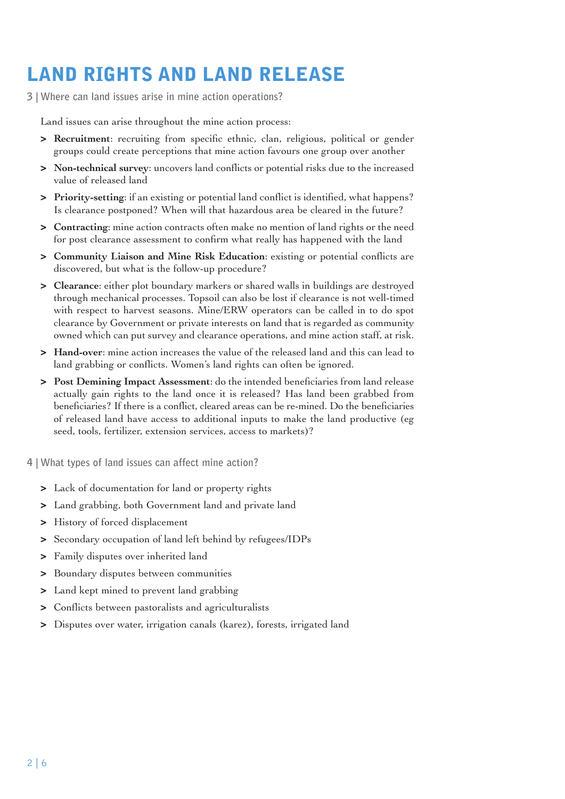## **LAND RIGHTS AND LAND RELEASE**

**3 | Where can land issues arise in mine action operations?** 

Land issues can arise throughout the mine action process:

- **> Recruitment**: recruiting from specific ethnic, clan, religious, political or gender groups could create perceptions that mine action favours one group over another
- **> Non-technical survey**: uncovers land conflicts or potential risks due to the increased value of released land
- **> Priority-setting**: if an existing or potential land conflict is identified, what happens? Is clearance postponed? When will that hazardous area be cleared in the future?
- **> Contracting**: mine action contracts often make no mention of land rights or the need for post clearance assessment to confirm what really has happened with the land
- **> Community Liaison and Mine Risk Education**: existing or potential conflicts are discovered, but what is the follow-up procedure?
- **> Clearance**: either plot boundary markers or shared walls in buildings are destroyed through mechanical processes. Topsoil can also be lost if clearance is not well-timed with respect to harvest seasons. Mine/ERW operators can be called in to do spot clearance by Government or private interests on land that is regarded as community owned which can put survey and clearance operations, and mine action staff, at risk.
- **> Hand-over**: mine action increases the value of the released land and this can lead to land grabbing or conflicts. Women's land rights can often be ignored.
- **> Post Demining Impact Assessment**: do the intended beneficiaries from land release actually gain rights to the land once it is released? Has land been grabbed from beneficiaries? If there is a conflict, cleared areas can be re-mined. Do the beneficiaries of released land have access to additional inputs to make the land productive (eg seed, tools, fertilizer, extension services, access to markets)?

**4 | What types of land issues can affect mine action?**

- **>** Lack of documentation for land or property rights
- **>** Land grabbing, both Government land and private land
- **>** History of forced displacement
- **>** Secondary occupation of land left behind by refugees/IDPs
- **>** Family disputes over inherited land
- **>** Boundary disputes between communities
- **>** Land kept mined to prevent land grabbing
- **>** Conflicts between pastoralists and agriculturalists
- **>** Disputes over water, irrigation canals (karez), forests, irrigated land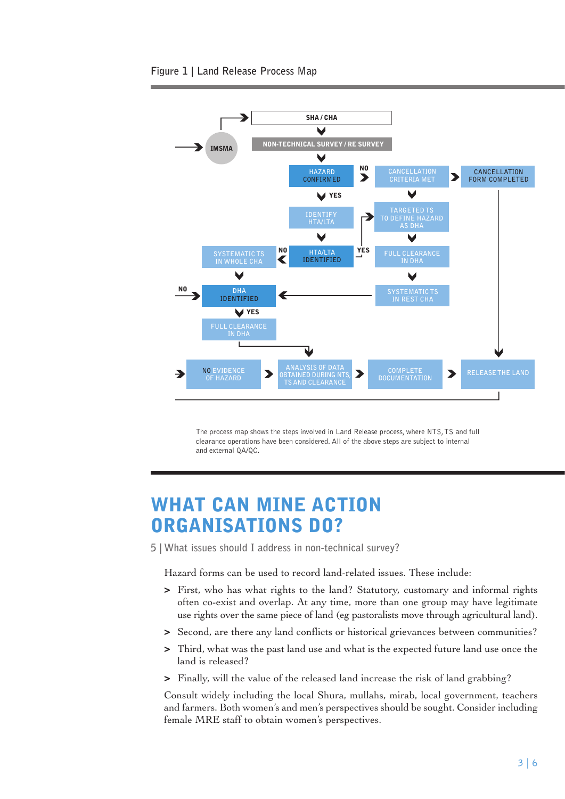#### **Figure 1 | Land Release Process Map**



The process map shows the steps involved in Land Release process, where NTS, TS and full clearance operations have been considered. All of the above steps are subject to internal and external QA/QC.

#### **WHAT CAN MINE ACTION ORGANISATIONS DO?**

**5 | What issues should I address in non-technical survey?** 

Hazard forms can be used to record land-related issues. These include:

- **>** First, who has what rights to the land? Statutory, customary and informal rights often co-exist and overlap. At any time, more than one group may have legitimate use rights over the same piece of land (eg pastoralists move through agricultural land).
- **>** Second, are there any land conflicts or historical grievances between communities?
- **>** Third, what was the past land use and what is the expected future land use once the land is released?
- **>** Finally, will the value of the released land increase the risk of land grabbing?

Consult widely including the local Shura, mullahs, mirab, local government, teachers and farmers. Both women's and men's perspectives should be sought. Consider including female MRE staff to obtain women's perspectives.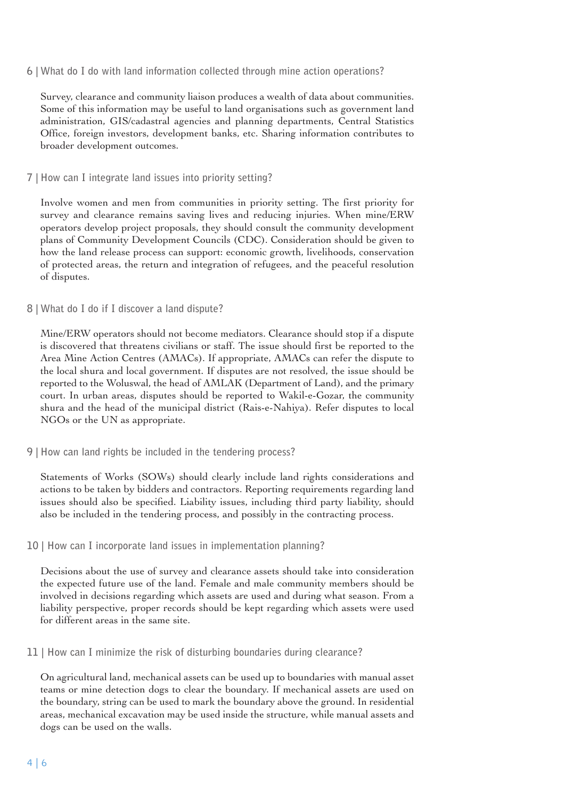#### **6 | What do I do with land information collected through mine action operations?**

Survey, clearance and community liaison produces a wealth of data about communities. Some of this information may be useful to land organisations such as government land administration, GIS/cadastral agencies and planning departments, Central Statistics Office, foreign investors, development banks, etc. Sharing information contributes to broader development outcomes.

#### **7 | How can I integrate land issues into priority setting?**

Involve women and men from communities in priority setting. The first priority for survey and clearance remains saving lives and reducing injuries. When mine/ERW operators develop project proposals, they should consult the community development plans of Community Development Councils (CDC). Consideration should be given to how the land release process can support: economic growth, livelihoods, conservation of protected areas, the return and integration of refugees, and the peaceful resolution of disputes.

#### **8 | What do I do if I discover a land dispute?**

Mine/ERW operators should not become mediators. Clearance should stop if a dispute is discovered that threatens civilians or staff. The issue should first be reported to the Area Mine Action Centres (AMACs). If appropriate, AMACs can refer the dispute to the local shura and local government. If disputes are not resolved, the issue should be reported to the Woluswal, the head of AMLAK (Department of Land), and the primary court. In urban areas, disputes should be reported to Wakil-e-Gozar, the community shura and the head of the municipal district (Rais-e-Nahiya). Refer disputes to local NGOs or the UN as appropriate.

**9 | How can land rights be included in the tendering process?** 

Statements of Works (SOWs) should clearly include land rights considerations and actions to be taken by bidders and contractors. Reporting requirements regarding land issues should also be specified. Liability issues, including third party liability, should also be included in the tendering process, and possibly in the contracting process.

**10 | How can I incorporate land issues in implementation planning?** 

Decisions about the use of survey and clearance assets should take into consideration the expected future use of the land. Female and male community members should be involved in decisions regarding which assets are used and during what season. From a liability perspective, proper records should be kept regarding which assets were used for different areas in the same site.

**11 | How can I minimize the risk of disturbing boundaries during clearance?** 

On agricultural land, mechanical assets can be used up to boundaries with manual asset teams or mine detection dogs to clear the boundary. If mechanical assets are used on the boundary, string can be used to mark the boundary above the ground. In residential areas, mechanical excavation may be used inside the structure, while manual assets and dogs can be used on the walls.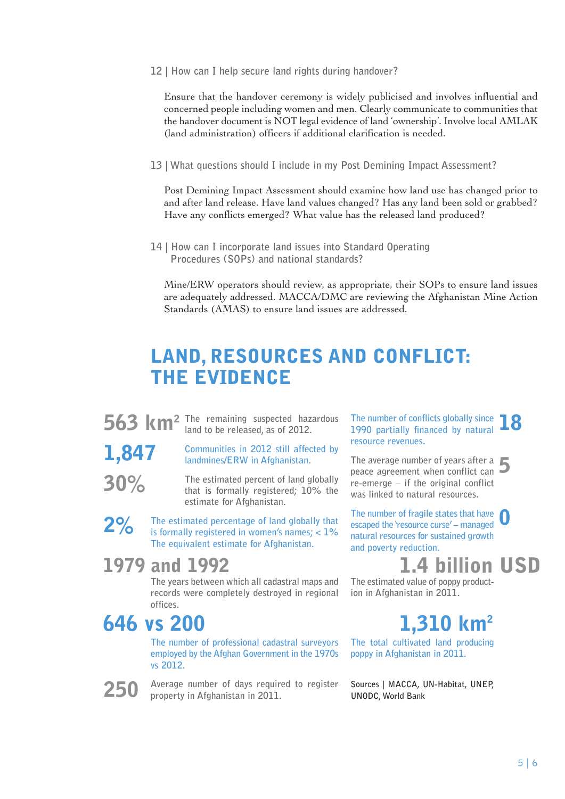**12 | How can I help secure land rights during handover?** 

Ensure that the handover ceremony is widely publicised and involves influential and concerned people including women and men. Clearly communicate to communities that the handover document is NOT legal evidence of land 'ownership'. Involve local AMLAK (land administration) officers if additional clarification is needed.

**13 | What questions should I include in my Post Demining Impact Assessment?** 

Post Demining Impact Assessment should examine how land use has changed prior to and after land release. Have land values changed? Has any land been sold or grabbed? Have any conflicts emerged? What value has the released land produced?

**14 | How can I incorporate land issues into Standard Operating Procedures (SOPs) and national standards?** 

Mine/ERW operators should review, as appropriate, their SOPs to ensure land issues are adequately addressed. MACCA/DMC are reviewing the Afghanistan Mine Action Standards (AMAS) to ensure land issues are addressed.

### **LAND, RESOURCES AND CONFLICT: THE EVIDENCE**

**563 km<sup>2</sup>** The remaining suspected hazardous land to be released, as of 2012. **land to be released, as of 2012.**

**1,847** 

**30%** 

**Communities in 2012 still affected by landmines/ERW in Afghanistan. The estimated percent of land globally** 

**that is formally registered; 10% the estimate for Afghanistan.** 

**2% The estimated percentage of land globally that is formally registered in women's names; < 1% The equivalent estimate for Afghanistan.** 

#### **1979 and 1992**

**The years between which all cadastral maps and records were completely destroyed in regional offices.** 

### **646 vs 200**

**250**

**The number of professional cadastral surveyors employed by the Afghan Government in the 1970s vs 2012.** 

**Average number of days required to register property in Afghanistan in 2011.**

The number of conflicts globally since<br>1990 partially financed by natural **18 1990 partially financed by natural resource revenues.** 

**5 The average number of years after a peace agreement when conflict can re-emerge – if the original conflict was linked to natural resources.** 

**0 The number of fragile states that have escaped the 'resource curse' – managed natural resources for sustained growth and poverty reduction.** 

## **1.4 billion USD**

**The estimated value of poppy production in Afghanistan in 2011.**

## **1,310 km2**

**The total cultivated land producing poppy in Afghanistan in 2011.** 

**Sources | MACCA, UN-Habitat, UNEP, UNODC, World Bank**